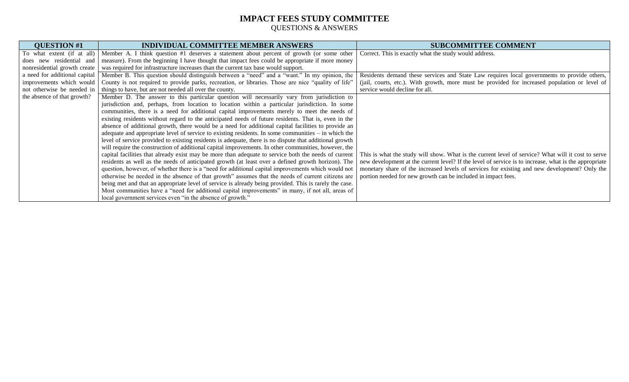| <b>QUESTION #1</b>            | <b>INDIVIDUAL COMMITTEE MEMBER ANSWERS</b>                                                              | <b>SUBCOMMITTEE COMMENT</b>                                                                           |
|-------------------------------|---------------------------------------------------------------------------------------------------------|-------------------------------------------------------------------------------------------------------|
| To what extent (if at all)    | Member A. I think question #1 deserves a statement about percent of growth (or some other               | Correct. This is exactly what the study would address.                                                |
| does new residential and      | measure). From the beginning I have thought that impact fees could be appropriate if more money         |                                                                                                       |
| nonresidential growth create  | was required for infrastructure increases than the current tax base would support.                      |                                                                                                       |
| a need for additional capital | Member B. This question should distinguish between a "need" and a "want." In my opinion, the            | Residents demand these services and State Law requires local governments to provide others,           |
| improvements which would      | County is not required to provide parks, recreation, or libraries. Those are nice "quality of life"     | (jail, courts, etc.). With growth, more must be provided for increased population or level of         |
| not otherwise be needed in    | things to have, but are not needed all over the county.                                                 | service would decline for all.                                                                        |
| the absence of that growth?   | Member D. The answer to this particular question will necessarily vary from jurisdiction to             |                                                                                                       |
|                               | jurisdiction and, perhaps, from location to location within a particular jurisdiction. In some          |                                                                                                       |
|                               | communities, there is a need for additional capital improvements merely to meet the needs of            |                                                                                                       |
|                               | existing residents without regard to the anticipated needs of future residents. That is, even in the    |                                                                                                       |
|                               | absence of additional growth, there would be a need for additional capital facilities to provide an     |                                                                                                       |
|                               | adequate and appropriate level of service to existing residents. In some communities $-$ in which the   |                                                                                                       |
|                               | level of service provided to existing residents is adequate, there is no dispute that additional growth |                                                                                                       |
|                               | will require the construction of additional capital improvements. In other communities, however, the    |                                                                                                       |
|                               | capital facilities that already exist may be more than adequate to service both the needs of current    | This is what the study will show. What is the current level of service? What will it cost to serve    |
|                               | residents as well as the needs of anticipated growth (at least over a defined growth horizon). The      | new development at the current level? If the level of service is to increase, what is the appropriate |
|                               | question, however, of whether there is a "need for additional capital improvements which would not      | monetary share of the increased levels of services for existing and new development? Only the         |
|                               | otherwise be needed in the absence of that growth" assumes that the needs of current citizens are       | portion needed for new growth can be included in impact fees.                                         |
|                               | being met and that an appropriate level of service is already being provided. This is rarely the case.  |                                                                                                       |
|                               | Most communities have a "need for additional capital improvements" in many, if not all, areas of        |                                                                                                       |
|                               | local government services even "in the absence of growth."                                              |                                                                                                       |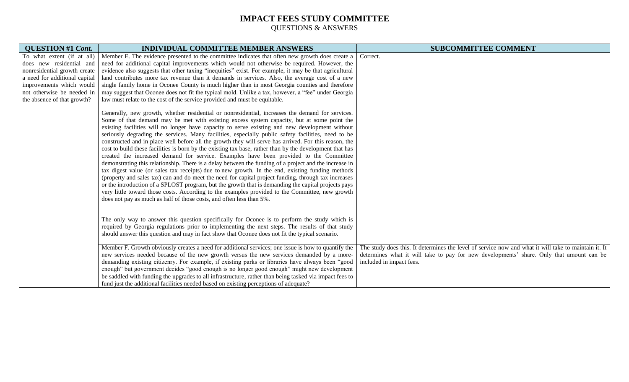| <b>QUESTION #1 Cont.</b>      | <b>INDIVIDUAL COMMITTEE MEMBER ANSWERS</b>                                                                                                                                                                                                                                                                                                                                                                                                                                                                                                                                                                                                                                                                                                                                                                                                                                                                                                                                                                                                                                                                                                                                                                                                                                                                                    | <b>SUBCOMMITTEE COMMENT</b>                                                                                                                                                                                                  |
|-------------------------------|-------------------------------------------------------------------------------------------------------------------------------------------------------------------------------------------------------------------------------------------------------------------------------------------------------------------------------------------------------------------------------------------------------------------------------------------------------------------------------------------------------------------------------------------------------------------------------------------------------------------------------------------------------------------------------------------------------------------------------------------------------------------------------------------------------------------------------------------------------------------------------------------------------------------------------------------------------------------------------------------------------------------------------------------------------------------------------------------------------------------------------------------------------------------------------------------------------------------------------------------------------------------------------------------------------------------------------|------------------------------------------------------------------------------------------------------------------------------------------------------------------------------------------------------------------------------|
| To what extent (if at all)    | Member E. The evidence presented to the committee indicates that often new growth does create a                                                                                                                                                                                                                                                                                                                                                                                                                                                                                                                                                                                                                                                                                                                                                                                                                                                                                                                                                                                                                                                                                                                                                                                                                               | Correct.                                                                                                                                                                                                                     |
| does new residential and      | need for additional capital improvements which would not otherwise be required. However, the                                                                                                                                                                                                                                                                                                                                                                                                                                                                                                                                                                                                                                                                                                                                                                                                                                                                                                                                                                                                                                                                                                                                                                                                                                  |                                                                                                                                                                                                                              |
| nonresidential growth create  | evidence also suggests that other taxing "inequities" exist. For example, it may be that agricultural                                                                                                                                                                                                                                                                                                                                                                                                                                                                                                                                                                                                                                                                                                                                                                                                                                                                                                                                                                                                                                                                                                                                                                                                                         |                                                                                                                                                                                                                              |
| a need for additional capital | land contributes more tax revenue than it demands in services. Also, the average cost of a new                                                                                                                                                                                                                                                                                                                                                                                                                                                                                                                                                                                                                                                                                                                                                                                                                                                                                                                                                                                                                                                                                                                                                                                                                                |                                                                                                                                                                                                                              |
| improvements which would      | single family home in Oconee County is much higher than in most Georgia counties and therefore                                                                                                                                                                                                                                                                                                                                                                                                                                                                                                                                                                                                                                                                                                                                                                                                                                                                                                                                                                                                                                                                                                                                                                                                                                |                                                                                                                                                                                                                              |
| not otherwise be needed in    | may suggest that Oconee does not fit the typical mold. Unlike a tax, however, a "fee" under Georgia                                                                                                                                                                                                                                                                                                                                                                                                                                                                                                                                                                                                                                                                                                                                                                                                                                                                                                                                                                                                                                                                                                                                                                                                                           |                                                                                                                                                                                                                              |
| the absence of that growth?   | law must relate to the cost of the service provided and must be equitable.                                                                                                                                                                                                                                                                                                                                                                                                                                                                                                                                                                                                                                                                                                                                                                                                                                                                                                                                                                                                                                                                                                                                                                                                                                                    |                                                                                                                                                                                                                              |
|                               | Generally, new growth, whether residential or nonresidential, increases the demand for services.<br>Some of that demand may be met with existing excess system capacity, but at some point the<br>existing facilities will no longer have capacity to serve existing and new development without<br>seriously degrading the services. Many facilities, especially public safety facilities, need to be<br>constructed and in place well before all the growth they will serve has arrived. For this reason, the<br>cost to build these facilities is born by the existing tax base, rather than by the development that has<br>created the increased demand for service. Examples have been provided to the Committee<br>demonstrating this relationship. There is a delay between the funding of a project and the increase in<br>tax digest value (or sales tax receipts) due to new growth. In the end, existing funding methods<br>(property and sales tax) can and do meet the need for capital project funding, through tax increases<br>or the introduction of a SPLOST program, but the growth that is demanding the capital projects pays<br>very little toward those costs. According to the examples provided to the Committee, new growth<br>does not pay as much as half of those costs, and often less than 5%. |                                                                                                                                                                                                                              |
|                               | The only way to answer this question specifically for Oconee is to perform the study which is<br>required by Georgia regulations prior to implementing the next steps. The results of that study<br>should answer this question and may in fact show that Oconee does not fit the typical scenario.<br>Member F. Growth obviously creates a need for additional services; one issue is how to quantify the<br>new services needed because of the new growth versus the new services demanded by a more-<br>demanding existing citizenry. For example, if existing parks or libraries have always been "good<br>enough" but government decides "good enough is no longer good enough" might new development<br>be saddled with funding the upgrades to all infrastructure, rather than being tasked via impact fees to<br>fund just the additional facilities needed based on existing perceptions of adequate?                                                                                                                                                                                                                                                                                                                                                                                                                | The study does this. It determines the level of service now and what it will take to maintain it. It<br>determines what it will take to pay for new developments' share. Only that amount can be<br>included in impact fees. |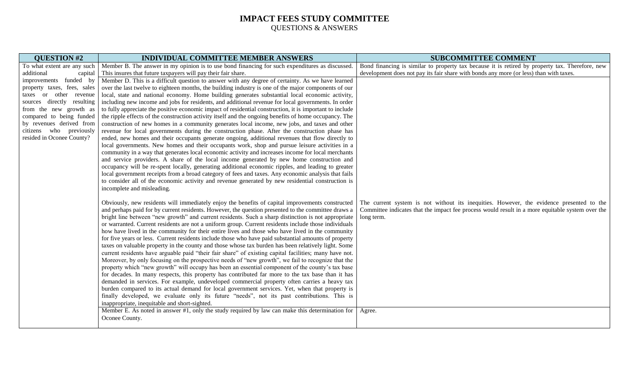| <b>QUESTION #2</b>          | <b>INDIVIDUAL COMMITTEE MEMBER ANSWERS</b>                                                               | <b>SUBCOMMITTEE COMMENT</b>                                                                      |
|-----------------------------|----------------------------------------------------------------------------------------------------------|--------------------------------------------------------------------------------------------------|
| To what extent are any such | Member B. The answer in my opinion is to use bond financing for such expenditures as discussed.          | Bond financing is similar to property tax because it is retired by property tax. Therefore, new  |
| additional<br>capital       | This insures that future taxpayers will pay their fair share.                                            | development does not pay its fair share with bonds any more (or less) than with taxes.           |
| improvements funded by      | Member D. This is a difficult question to answer with any degree of certainty. As we have learned        |                                                                                                  |
| property taxes, fees, sales | over the last twelve to eighteen months, the building industry is one of the major components of our     |                                                                                                  |
| taxes or other revenue      | local, state and national economy. Home building generates substantial local economic activity,          |                                                                                                  |
| sources directly resulting  | including new income and jobs for residents, and additional revenue for local governments. In order      |                                                                                                  |
| from the new growth as      | to fully appreciate the positive economic impact of residential construction, it is important to include |                                                                                                  |
| compared to being funded    | the ripple effects of the construction activity itself and the ongoing benefits of home occupancy. The   |                                                                                                  |
| by revenues derived from    | construction of new homes in a community generates local income, new jobs, and taxes and other           |                                                                                                  |
| citizens who previously     | revenue for local governments during the construction phase. After the construction phase has            |                                                                                                  |
| resided in Oconee County?   | ended, new homes and their occupants generate ongoing, additional revenues that flow directly to         |                                                                                                  |
|                             | local governments. New homes and their occupants work, shop and pursue leisure activities in a           |                                                                                                  |
|                             | community in a way that generates local economic activity and increases income for local merchants       |                                                                                                  |
|                             | and service providers. A share of the local income generated by new home construction and                |                                                                                                  |
|                             | occupancy will be re-spent locally, generating additional economic ripples, and leading to greater       |                                                                                                  |
|                             | local government receipts from a broad category of fees and taxes. Any economic analysis that fails      |                                                                                                  |
|                             | to consider all of the economic activity and revenue generated by new residential construction is        |                                                                                                  |
|                             | incomplete and misleading.                                                                               |                                                                                                  |
|                             | Obviously, new residents will immediately enjoy the benefits of capital improvements constructed         | The current system is not without its inequities. However, the evidence presented to the         |
|                             | and perhaps paid for by current residents. However, the question presented to the committee draws a      | Committee indicates that the impact fee process would result in a more equitable system over the |
|                             | bright line between "new growth" and current residents. Such a sharp distinction is not appropriate      | long term.                                                                                       |
|                             | or warranted. Current residents are not a uniform group. Current residents include those individuals     |                                                                                                  |
|                             | how have lived in the community for their entire lives and those who have lived in the community         |                                                                                                  |
|                             | for five years or less. Current residents include those who have paid substantial amounts of property    |                                                                                                  |
|                             | taxes on valuable property in the county and those whose tax burden has been relatively light. Some      |                                                                                                  |
|                             | current residents have arguable paid "their fair share" of existing capital facilities; many have not.   |                                                                                                  |
|                             | Moreover, by only focusing on the prospective needs of "new growth", we fail to recognize that the       |                                                                                                  |
|                             | property which "new growth" will occupy has been an essential component of the county's tax base         |                                                                                                  |
|                             | for decades. In many respects, this property has contributed far more to the tax base than it has        |                                                                                                  |
|                             | demanded in services. For example, undeveloped commercial property often carries a heavy tax             |                                                                                                  |
|                             | burden compared to its actual demand for local government services. Yet, when that property is           |                                                                                                  |
|                             | finally developed, we evaluate only its future "needs", not its past contributions. This is              |                                                                                                  |
|                             | inappropriate, inequitable and short-sighted.                                                            |                                                                                                  |
|                             | Member E. As noted in answer #1, only the study required by law can make this determination for          | Agree.                                                                                           |
|                             | Oconee County.                                                                                           |                                                                                                  |
|                             |                                                                                                          |                                                                                                  |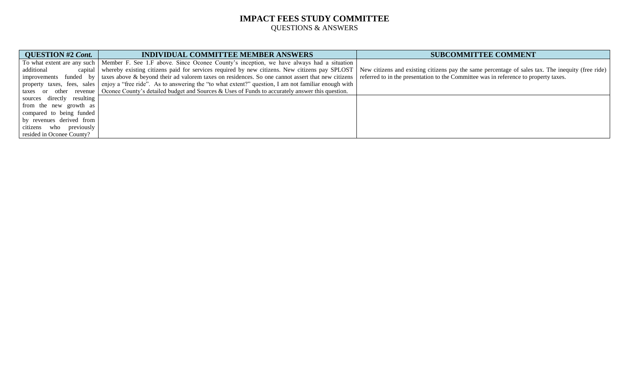| <b>QUESTION #2 Cont.</b>   | <b>INDIVIDUAL COMMITTEE MEMBER ANSWERS</b>                                                                                                                                                           | <b>SUBCOMMITTEE COMMENT</b>                                                                       |
|----------------------------|------------------------------------------------------------------------------------------------------------------------------------------------------------------------------------------------------|---------------------------------------------------------------------------------------------------|
|                            | To what extent are any such   Member F. See 1.F above. Since Oconee County's inception, we have always had a situation                                                                               |                                                                                                   |
| additional                 | capital whereby existing citizens paid for services required by new citizens. New citizens pay SPLOST                                                                                                | New citizens and existing citizens pay the same percentage of sales tax. The inequity (free ride) |
| improvements               | funded by   taxes above & beyond their ad valorem taxes on residences. So one cannot assert that new citizens   referred to in the presentation to the Committee was in reference to property taxes. |                                                                                                   |
|                            | property taxes, fees, sales enjoy a "free ride". As to answering the "to what extent?" question, I am not familiar enough with                                                                       |                                                                                                   |
|                            | taxes or other revenue   Oconee County's detailed budget and Sources & Uses of Funds to accurately answer this question.                                                                             |                                                                                                   |
| sources directly resulting |                                                                                                                                                                                                      |                                                                                                   |
| from the new growth as     |                                                                                                                                                                                                      |                                                                                                   |
| compared to being funded   |                                                                                                                                                                                                      |                                                                                                   |
| by revenues derived from   |                                                                                                                                                                                                      |                                                                                                   |
| citizens who previously    |                                                                                                                                                                                                      |                                                                                                   |
| resided in Oconee County?  |                                                                                                                                                                                                      |                                                                                                   |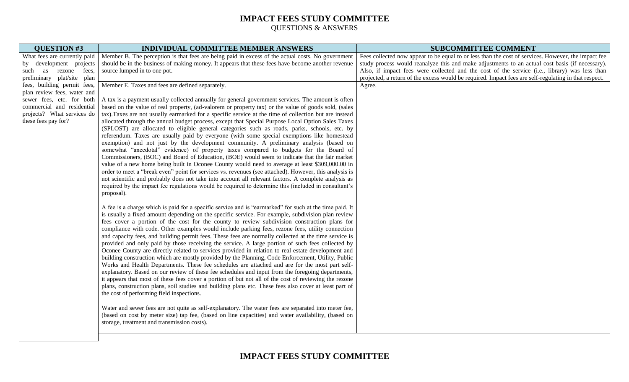| <b>QUESTION #3</b>                                        | <b>INDIVIDUAL COMMITTEE MEMBER ANSWERS</b>                                                              | <b>SUBCOMMITTEE COMMENT</b>                                                                           |
|-----------------------------------------------------------|---------------------------------------------------------------------------------------------------------|-------------------------------------------------------------------------------------------------------|
| What fees are currently paid                              | Member B. The perception is that fees are being paid in excess of the actual costs. No government       | Fees collected now appear to be equal to or less than the cost of services. However, the impact fee   |
| by development projects                                   | should be in the business of making money. It appears that these fees have become another revenue       | study process would reanalyze this and make adjustments to an actual cost basis (if necessary).       |
| as<br>rezone<br>fees,<br>such                             | source lumped in to one pot.                                                                            | Also, if impact fees were collected and the cost of the service (i.e., library) was less than         |
| preliminary plat/site plan<br>fees, building permit fees, | Member E. Taxes and fees are defined separately.                                                        | projected, a return of the excess would be required. Impact fees are self-regulating in that respect. |
| plan review fees, water and                               |                                                                                                         | Agree.                                                                                                |
| sewer fees, etc. for both                                 | A tax is a payment usually collected annually for general government services. The amount is often      |                                                                                                       |
| commercial and residential                                | based on the value of real property, (ad-valorem or property tax) or the value of goods sold, (sales    |                                                                                                       |
| projects? What services do                                | tax). Taxes are not usually earmarked for a specific service at the time of collection but are instead  |                                                                                                       |
| these fees pay for?                                       | allocated through the annual budget process, except that Special Purpose Local Option Sales Taxes       |                                                                                                       |
|                                                           | (SPLOST) are allocated to eligible general categories such as roads, parks, schools, etc. by            |                                                                                                       |
|                                                           | referendum. Taxes are usually paid by everyone (with some special exemptions like homestead             |                                                                                                       |
|                                                           | exemption) and not just by the development community. A preliminary analysis (based on                  |                                                                                                       |
|                                                           | somewhat "anecdotal" evidence) of property taxes compared to budgets for the Board of                   |                                                                                                       |
|                                                           | Commissioners, (BOC) and Board of Education, (BOE) would seem to indicate that the fair market          |                                                                                                       |
|                                                           | value of a new home being built in Oconee County would need to average at least \$309,000.00 in         |                                                                                                       |
|                                                           | order to meet a "break even" point for services vs. revenues (see attached). However, this analysis is  |                                                                                                       |
|                                                           | not scientific and probably does not take into account all relevant factors. A complete analysis as     |                                                                                                       |
|                                                           | required by the impact fee regulations would be required to determine this (included in consultant's    |                                                                                                       |
|                                                           | proposal).                                                                                              |                                                                                                       |
|                                                           | A fee is a charge which is paid for a specific service and is "earmarked" for such at the time paid. It |                                                                                                       |
|                                                           | is usually a fixed amount depending on the specific service. For example, subdivision plan review       |                                                                                                       |
|                                                           | fees cover a portion of the cost for the county to review subdivision construction plans for            |                                                                                                       |
|                                                           | compliance with code. Other examples would include parking fees, rezone fees, utility connection        |                                                                                                       |
|                                                           | and capacity fees, and building permit fees. These fees are normally collected at the time service is   |                                                                                                       |
|                                                           | provided and only paid by those receiving the service. A large portion of such fees collected by        |                                                                                                       |
|                                                           | Oconee County are directly related to services provided in relation to real estate development and      |                                                                                                       |
|                                                           | building construction which are mostly provided by the Planning, Code Enforcement, Utility, Public      |                                                                                                       |
|                                                           | Works and Health Departments. These fee schedules are attached and are for the most part self-          |                                                                                                       |
|                                                           | explanatory. Based on our review of these fee schedules and input from the foregoing departments,       |                                                                                                       |
|                                                           | it appears that most of these fees cover a portion of but not all of the cost of reviewing the rezone   |                                                                                                       |
|                                                           | plans, construction plans, soil studies and building plans etc. These fees also cover at least part of  |                                                                                                       |
|                                                           | the cost of performing field inspections.                                                               |                                                                                                       |
|                                                           | Water and sewer fees are not quite as self-explanatory. The water fees are separated into meter fee,    |                                                                                                       |
|                                                           | (based on cost by meter size) tap fee, (based on line capacities) and water availability, (based on     |                                                                                                       |
|                                                           | storage, treatment and transmission costs).                                                             |                                                                                                       |
|                                                           |                                                                                                         |                                                                                                       |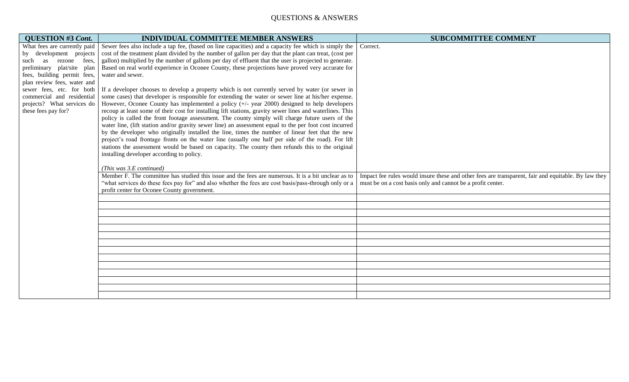# QUESTIONS & ANSWERS

| <b>QUESTION #3 Cont.</b>                                | <b>INDIVIDUAL COMMITTEE MEMBER ANSWERS</b>                                                                                                                                                              | <b>SUBCOMMITTEE COMMENT</b>                                                                         |
|---------------------------------------------------------|---------------------------------------------------------------------------------------------------------------------------------------------------------------------------------------------------------|-----------------------------------------------------------------------------------------------------|
| What fees are currently paid                            | Sewer fees also include a tap fee, (based on line capacities) and a capacity fee which is simply the                                                                                                    | Correct.                                                                                            |
| by development projects                                 | cost of the treatment plant divided by the number of gallon per day that the plant can treat, (cost per                                                                                                 |                                                                                                     |
| as rezone<br>fees,<br>such                              | gallon) multiplied by the number of gallons per day of effluent that the user is projected to generate.                                                                                                 |                                                                                                     |
| preliminary plat/site plan                              | Based on real world experience in Oconee County, these projections have proved very accurate for                                                                                                        |                                                                                                     |
| fees, building permit fees,                             | water and sewer.                                                                                                                                                                                        |                                                                                                     |
| plan review fees, water and                             |                                                                                                                                                                                                         |                                                                                                     |
| sewer fees, etc. for both<br>commercial and residential | If a developer chooses to develop a property which is not currently served by water (or sewer in<br>some cases) that developer is responsible for extending the water or sewer line at his/her expense. |                                                                                                     |
| projects? What services do                              | However, Oconee County has implemented a policy $(+)$ - year 2000) designed to help developers                                                                                                          |                                                                                                     |
| these fees pay for?                                     | recoup at least some of their cost for installing lift stations, gravity sewer lines and waterlines. This                                                                                               |                                                                                                     |
|                                                         | policy is called the front footage assessment. The county simply will charge future users of the                                                                                                        |                                                                                                     |
|                                                         | water line, (lift station and/or gravity sewer line) an assessment equal to the per foot cost incurred                                                                                                  |                                                                                                     |
|                                                         | by the developer who originally installed the line, times the number of linear feet that the new                                                                                                        |                                                                                                     |
|                                                         | project's road frontage fronts on the water line (usually one half per side of the road). For lift                                                                                                      |                                                                                                     |
|                                                         | stations the assessment would be based on capacity. The county then refunds this to the original                                                                                                        |                                                                                                     |
|                                                         | installing developer according to policy.                                                                                                                                                               |                                                                                                     |
|                                                         |                                                                                                                                                                                                         |                                                                                                     |
|                                                         | (This was 3.E continued)                                                                                                                                                                                |                                                                                                     |
|                                                         | Member F. The committee has studied this issue and the fees are numerous. It is a bit unclear as to                                                                                                     | Impact fee rules would insure these and other fees are transparent, fair and equitable. By law they |
|                                                         | "what services do these fees pay for" and also whether the fees are cost basis/pass-through only or a                                                                                                   | must be on a cost basis only and cannot be a profit center.                                         |
|                                                         | profit center for Oconee County government.                                                                                                                                                             |                                                                                                     |
|                                                         |                                                                                                                                                                                                         |                                                                                                     |
|                                                         |                                                                                                                                                                                                         |                                                                                                     |
|                                                         |                                                                                                                                                                                                         |                                                                                                     |
|                                                         |                                                                                                                                                                                                         |                                                                                                     |
|                                                         |                                                                                                                                                                                                         |                                                                                                     |
|                                                         |                                                                                                                                                                                                         |                                                                                                     |
|                                                         |                                                                                                                                                                                                         |                                                                                                     |
|                                                         |                                                                                                                                                                                                         |                                                                                                     |
|                                                         |                                                                                                                                                                                                         |                                                                                                     |
|                                                         |                                                                                                                                                                                                         |                                                                                                     |
|                                                         |                                                                                                                                                                                                         |                                                                                                     |
|                                                         |                                                                                                                                                                                                         |                                                                                                     |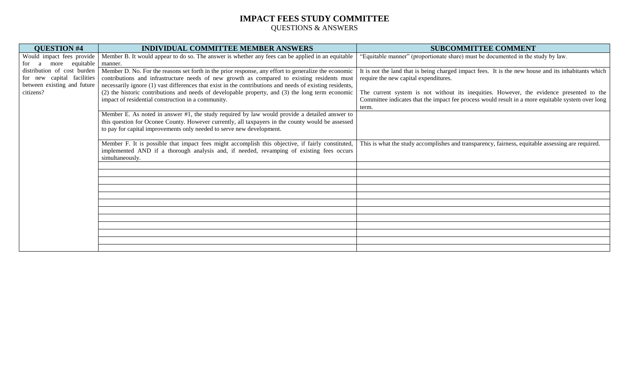| <b>QUESTION #4</b>          | <b>INDIVIDUAL COMMITTEE MEMBER ANSWERS</b>                                                               | <b>SUBCOMMITTEE COMMENT</b>                                                                         |
|-----------------------------|----------------------------------------------------------------------------------------------------------|-----------------------------------------------------------------------------------------------------|
| Would impact fees provide   | Member B. It would appear to do so. The answer is whether any fees can be applied in an equitable        | "Equitable manner" (proportionate share) must be documented in the study by law.                    |
| more equitable<br>for<br>a  | manner.                                                                                                  |                                                                                                     |
| distribution of cost burden | Member D. No. For the reasons set forth in the prior response, any effort to generalize the economic     | It is not the land that is being charged impact fees. It is the new house and its inhabitants which |
| for new capital facilities  | contributions and infrastructure needs of new growth as compared to existing residents must              | require the new capital expenditures.                                                               |
| between existing and future | necessarily ignore (1) vast differences that exist in the contributions and needs of existing residents, |                                                                                                     |
| citizens?                   | (2) the historic contributions and needs of developable property, and (3) the long term economic         | The current system is not without its inequities. However, the evidence presented to the            |
|                             | impact of residential construction in a community.                                                       | Committee indicates that the impact fee process would result in a more equitable system over long   |
|                             |                                                                                                          | term.                                                                                               |
|                             | Member E. As noted in answer #1, the study required by law would provide a detailed answer to            |                                                                                                     |
|                             | this question for Oconee County. However currently, all taxpayers in the county would be assessed        |                                                                                                     |
|                             | to pay for capital improvements only needed to serve new development.                                    |                                                                                                     |
|                             |                                                                                                          |                                                                                                     |
|                             | Member F. It is possible that impact fees might accomplish this objective, if fairly constituted,        | This is what the study accomplishes and transparency, fairness, equitable assessing are required.   |
|                             | implemented AND if a thorough analysis and, if needed, revamping of existing fees occurs                 |                                                                                                     |
|                             | simultaneously.                                                                                          |                                                                                                     |
|                             |                                                                                                          |                                                                                                     |
|                             |                                                                                                          |                                                                                                     |
|                             |                                                                                                          |                                                                                                     |
|                             |                                                                                                          |                                                                                                     |
|                             |                                                                                                          |                                                                                                     |
|                             |                                                                                                          |                                                                                                     |
|                             |                                                                                                          |                                                                                                     |
|                             |                                                                                                          |                                                                                                     |
|                             |                                                                                                          |                                                                                                     |
|                             |                                                                                                          |                                                                                                     |
|                             |                                                                                                          |                                                                                                     |
|                             |                                                                                                          |                                                                                                     |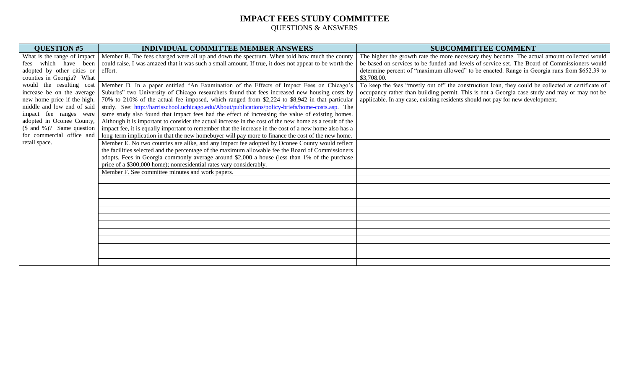| <b>QUESTION #5</b>           | <b>INDIVIDUAL COMMITTEE MEMBER ANSWERS</b>                                                              | <b>SUBCOMMITTEE COMMENT</b>                                                                       |
|------------------------------|---------------------------------------------------------------------------------------------------------|---------------------------------------------------------------------------------------------------|
| What is the range of impact  | Member B. The fees charged were all up and down the spectrum. When told how much the county             | The higher the growth rate the more necessary they become. The actual amount collected would      |
| which have been<br>fees      | could raise, I was amazed that it was such a small amount. If true, it does not appear to be worth the  | be based on services to be funded and levels of service set. The Board of Commissioners would     |
| adopted by other cities or   | effort.                                                                                                 | determine percent of "maximum allowed" to be enacted. Range in Georgia runs from \$652.39 to      |
| counties in Georgia? What    |                                                                                                         | \$3,708.00.                                                                                       |
| would the resulting cost     | Member D. In a paper entitled "An Examination of the Effects of Impact Fees on Chicago's                | To keep the fees "mostly out of" the construction loan, they could be collected at certificate of |
| increase be on the average   | Suburbs" two University of Chicago researchers found that fees increased new housing costs by           | occupancy rather than building permit. This is not a Georgia case study and may or may not be     |
| new home price if the high,  | 70% to 210% of the actual fee imposed, which ranged from \$2,224 to \$8,942 in that particular          | applicable. In any case, existing residents should not pay for new development.                   |
| middle and low end of said   | study. See: http://harrisschool.uchicago.edu/About/publications/policy-briefs/home-costs.asp. The       |                                                                                                   |
| impact fee ranges were       | same study also found that impact fees had the effect of increasing the value of existing homes.        |                                                                                                   |
| adopted in Oconee County,    | Although it is important to consider the actual increase in the cost of the new home as a result of the |                                                                                                   |
| $($ and \%$ )? Same question | impact fee, it is equally important to remember that the increase in the cost of a new home also has a  |                                                                                                   |
| for commercial office and    | long-term implication in that the new homebuyer will pay more to finance the cost of the new home.      |                                                                                                   |
| retail space.                | Member E. No two counties are alike, and any impact fee adopted by Oconee County would reflect          |                                                                                                   |
|                              | the facilities selected and the percentage of the maximum allowable fee the Board of Commissioners      |                                                                                                   |
|                              | adopts. Fees in Georgia commonly average around \$2,000 a house (less than 1% of the purchase           |                                                                                                   |
|                              | price of a \$300,000 home); nonresidential rates vary considerably.                                     |                                                                                                   |
|                              | Member F. See committee minutes and work papers.                                                        |                                                                                                   |
|                              |                                                                                                         |                                                                                                   |
|                              |                                                                                                         |                                                                                                   |
|                              |                                                                                                         |                                                                                                   |
|                              |                                                                                                         |                                                                                                   |
|                              |                                                                                                         |                                                                                                   |
|                              |                                                                                                         |                                                                                                   |
|                              |                                                                                                         |                                                                                                   |
|                              |                                                                                                         |                                                                                                   |
|                              |                                                                                                         |                                                                                                   |
|                              |                                                                                                         |                                                                                                   |
|                              |                                                                                                         |                                                                                                   |
|                              |                                                                                                         |                                                                                                   |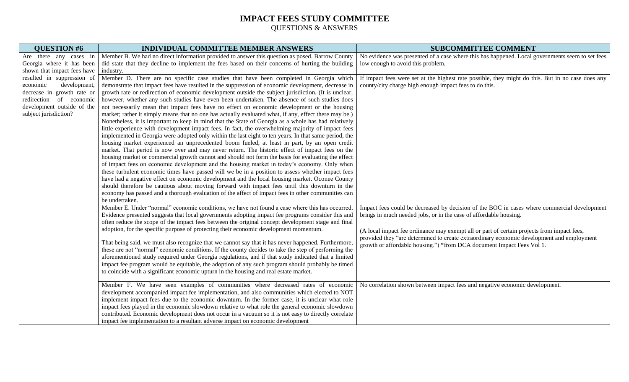| No evidence was presented of a case where this has happened. Local governments seem to set fees   |
|---------------------------------------------------------------------------------------------------|
|                                                                                                   |
|                                                                                                   |
| If impact fees were set at the highest rate possible, they might do this. But in no case does any |
|                                                                                                   |
|                                                                                                   |
|                                                                                                   |
|                                                                                                   |
|                                                                                                   |
|                                                                                                   |
|                                                                                                   |
|                                                                                                   |
|                                                                                                   |
|                                                                                                   |
|                                                                                                   |
|                                                                                                   |
|                                                                                                   |
|                                                                                                   |
|                                                                                                   |
|                                                                                                   |
|                                                                                                   |
| Impact fees could be decreased by decision of the BOC in cases where commercial development       |
|                                                                                                   |
|                                                                                                   |
| (A local impact fee ordinance may exempt all or part of certain projects from impact fees,        |
| provided they "are determined to create extraordinary economic development and employment         |
|                                                                                                   |
|                                                                                                   |
|                                                                                                   |
|                                                                                                   |
|                                                                                                   |
| No correlation shown between impact fees and negative economic development.                       |
|                                                                                                   |
|                                                                                                   |
|                                                                                                   |
|                                                                                                   |
|                                                                                                   |
|                                                                                                   |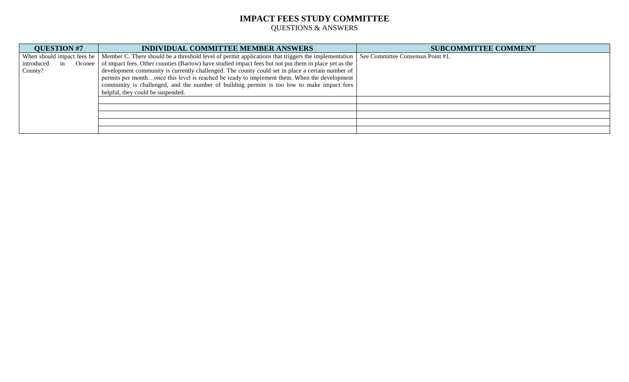| <b>QUESTION #7</b>         | <b>INDIVIDUAL COMMITTEE MEMBER ANSWERS</b>                                                                                            | <b>SUBCOMMITTEE COMMENT</b> |
|----------------------------|---------------------------------------------------------------------------------------------------------------------------------------|-----------------------------|
| When should impact fees be | Member C. There should be a threshold level of permit applications that triggers the implementation See Committee Consensus Point #1. |                             |
| introduced<br>in           | Oconee   of impact fees. Other counties (Barrow) have studied impact fees but not put them in place yet as the                        |                             |
| County?                    | development community is currently challenged. The county could set in place a certain number of                                      |                             |
|                            | permits per monthonce this level is reached be ready to implement them. When the development                                          |                             |
|                            | community is challenged, and the number of building permits is too low to make impact fees                                            |                             |
|                            | helpful, they could be suspended.                                                                                                     |                             |
|                            |                                                                                                                                       |                             |
|                            |                                                                                                                                       |                             |
|                            |                                                                                                                                       |                             |
|                            |                                                                                                                                       |                             |
|                            |                                                                                                                                       |                             |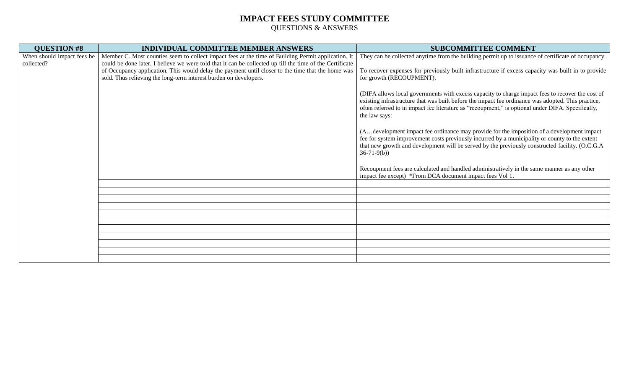| <b>INDIVIDUAL COMMITTEE MEMBER ANSWERS</b>                                                         | <b>SUBCOMMITTEE COMMENT</b>                                                                                                                                                                                                                                                                                                  |
|----------------------------------------------------------------------------------------------------|------------------------------------------------------------------------------------------------------------------------------------------------------------------------------------------------------------------------------------------------------------------------------------------------------------------------------|
| Member C. Most counties seem to collect impact fees at the time of Building Permit application. It | They can be collected anytime from the building permit up to issuance of certificate of occupancy.                                                                                                                                                                                                                           |
|                                                                                                    |                                                                                                                                                                                                                                                                                                                              |
| sold. Thus relieving the long-term interest burden on developers.                                  | To recover expenses for previously built infrastructure if excess capacity was built in to provide<br>for growth (RECOUPMENT).                                                                                                                                                                                               |
|                                                                                                    | (DIFA allows local governments with excess capacity to charge impact fees to recover the cost of<br>existing infrastructure that was built before the impact fee ordinance was adopted. This practice,<br>often referred to in impact fee literature as "recoupment," is optional under DIFA. Specifically,<br>the law says: |
|                                                                                                    | (Adevelopment impact fee ordinance may provide for the imposition of a development impact<br>fee for system improvement costs previously incurred by a municipality or county to the extent<br>that new growth and development will be served by the previously constructed facility. (O.C.G.A<br>$36-71-9(b)$               |
|                                                                                                    | Recoupment fees are calculated and handled administratively in the same manner as any other<br>impact fee except) *From DCA document impact fees Vol 1.                                                                                                                                                                      |
|                                                                                                    |                                                                                                                                                                                                                                                                                                                              |
|                                                                                                    |                                                                                                                                                                                                                                                                                                                              |
|                                                                                                    |                                                                                                                                                                                                                                                                                                                              |
|                                                                                                    |                                                                                                                                                                                                                                                                                                                              |
|                                                                                                    |                                                                                                                                                                                                                                                                                                                              |
|                                                                                                    |                                                                                                                                                                                                                                                                                                                              |
|                                                                                                    |                                                                                                                                                                                                                                                                                                                              |
|                                                                                                    |                                                                                                                                                                                                                                                                                                                              |
|                                                                                                    |                                                                                                                                                                                                                                                                                                                              |
| When should impact fees be                                                                         | could be done later. I believe we were told that it can be collected up till the time of the Certificate<br>of Occupancy application. This would delay the payment until closer to the time that the home was                                                                                                                |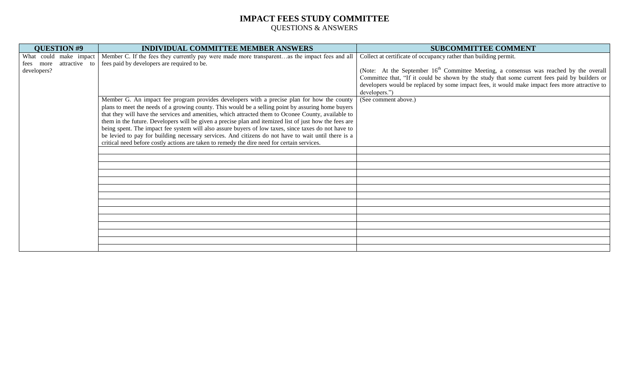| <b>QUESTION #9</b>         | <b>INDIVIDUAL COMMITTEE MEMBER ANSWERS</b>                                                             | <b>SUBCOMMITTEE COMMENT</b>                                                                        |
|----------------------------|--------------------------------------------------------------------------------------------------------|----------------------------------------------------------------------------------------------------|
| What could<br>make impact  | Member C. If the fees they currently pay were made more transparentas the impact fees and all          | Collect at certificate of occupancy rather than building permit.                                   |
| attractive to<br>fees more | fees paid by developers are required to be.                                                            |                                                                                                    |
| developers?                |                                                                                                        | (Note: At the September 16 <sup>th</sup> Committee Meeting, a consensus was reached by the overall |
|                            |                                                                                                        | Committee that, "If it could be shown by the study that some current fees paid by builders or      |
|                            |                                                                                                        | developers would be replaced by some impact fees, it would make impact fees more attractive to     |
|                            |                                                                                                        | developers.")                                                                                      |
|                            | Member G. An impact fee program provides developers with a precise plan for how the county             | (See comment above.)                                                                               |
|                            | plans to meet the needs of a growing county. This would be a selling point by assuring home buyers     |                                                                                                    |
|                            | that they will have the services and amenities, which attracted them to Oconee County, available to    |                                                                                                    |
|                            | them in the future. Developers will be given a precise plan and itemized list of just how the fees are |                                                                                                    |
|                            | being spent. The impact fee system will also assure buyers of low taxes, since taxes do not have to    |                                                                                                    |
|                            | be levied to pay for building necessary services. And citizens do not have to wait until there is a    |                                                                                                    |
|                            | critical need before costly actions are taken to remedy the dire need for certain services.            |                                                                                                    |
|                            |                                                                                                        |                                                                                                    |
|                            |                                                                                                        |                                                                                                    |
|                            |                                                                                                        |                                                                                                    |
|                            |                                                                                                        |                                                                                                    |
|                            |                                                                                                        |                                                                                                    |
|                            |                                                                                                        |                                                                                                    |
|                            |                                                                                                        |                                                                                                    |
|                            |                                                                                                        |                                                                                                    |
|                            |                                                                                                        |                                                                                                    |
|                            |                                                                                                        |                                                                                                    |
|                            |                                                                                                        |                                                                                                    |
|                            |                                                                                                        |                                                                                                    |
|                            |                                                                                                        |                                                                                                    |
|                            |                                                                                                        |                                                                                                    |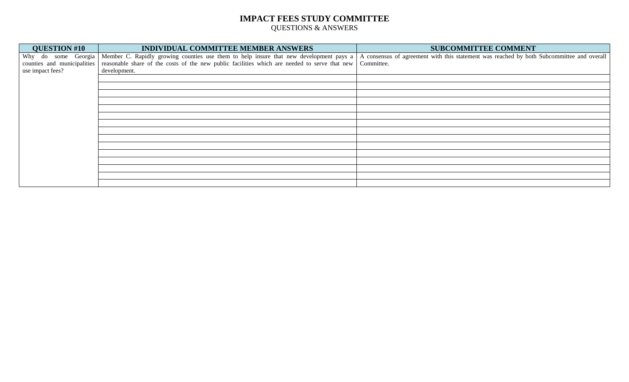| <b>QUESTION #10</b>         | INDIVIDUAL COMMITTEE MEMBER ANSWERS                                                                        | <b>SUBCOMMITTEE COMMENT</b>                                                               |
|-----------------------------|------------------------------------------------------------------------------------------------------------|-------------------------------------------------------------------------------------------|
|                             | Why do some Georgia Member C. Rapidly growing counties use them to help insure that new development pays a | A consensus of agreement with this statement was reached by both Subcommittee and overall |
| counties and municipalities | reasonable share of the costs of the new public facilities which are needed to serve that new Committee.   |                                                                                           |
| use impact fees?            | development.                                                                                               |                                                                                           |
|                             |                                                                                                            |                                                                                           |
|                             |                                                                                                            |                                                                                           |
|                             |                                                                                                            |                                                                                           |
|                             |                                                                                                            |                                                                                           |
|                             |                                                                                                            |                                                                                           |
|                             |                                                                                                            |                                                                                           |
|                             |                                                                                                            |                                                                                           |
|                             |                                                                                                            |                                                                                           |
|                             |                                                                                                            |                                                                                           |
|                             |                                                                                                            |                                                                                           |
|                             |                                                                                                            |                                                                                           |
|                             |                                                                                                            |                                                                                           |
|                             |                                                                                                            |                                                                                           |
|                             |                                                                                                            |                                                                                           |
|                             |                                                                                                            |                                                                                           |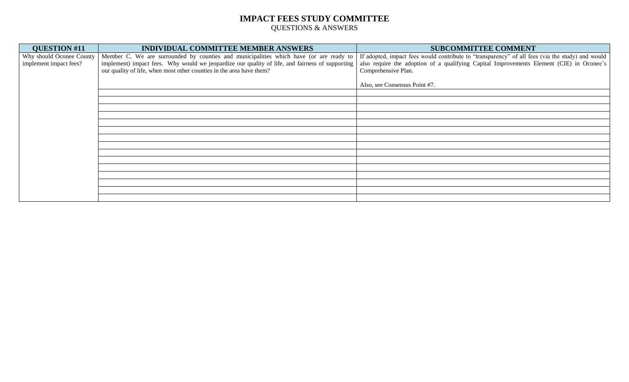| <b>QUESTION #11</b>      | <b>INDIVIDUAL COMMITTEE MEMBER ANSWERS</b>                                                      | <b>SUBCOMMITTEE COMMENT</b>                                                                      |
|--------------------------|-------------------------------------------------------------------------------------------------|--------------------------------------------------------------------------------------------------|
| Why should Oconee County | Member C. We are surrounded by counties and municipalities which have (or are ready to          | If adopted, impact fees would contribute to "transparency" of all fees (via the study) and would |
| implement impact fees?   | implement) impact fees. Why would we jeopardize our quality of life, and fairness of supporting | also require the adoption of a qualifying Capital Improvements Element (CIE) in Oconee's         |
|                          | our quality of life, when most other counties in the area have them?                            | Comprehensive Plan.                                                                              |
|                          |                                                                                                 | Also, see Consensus Point #7.                                                                    |
|                          |                                                                                                 |                                                                                                  |
|                          |                                                                                                 |                                                                                                  |
|                          |                                                                                                 |                                                                                                  |
|                          |                                                                                                 |                                                                                                  |
|                          |                                                                                                 |                                                                                                  |
|                          |                                                                                                 |                                                                                                  |
|                          |                                                                                                 |                                                                                                  |
|                          |                                                                                                 |                                                                                                  |
|                          |                                                                                                 |                                                                                                  |
|                          |                                                                                                 |                                                                                                  |
|                          |                                                                                                 |                                                                                                  |
|                          |                                                                                                 |                                                                                                  |
|                          |                                                                                                 |                                                                                                  |
|                          |                                                                                                 |                                                                                                  |
|                          |                                                                                                 |                                                                                                  |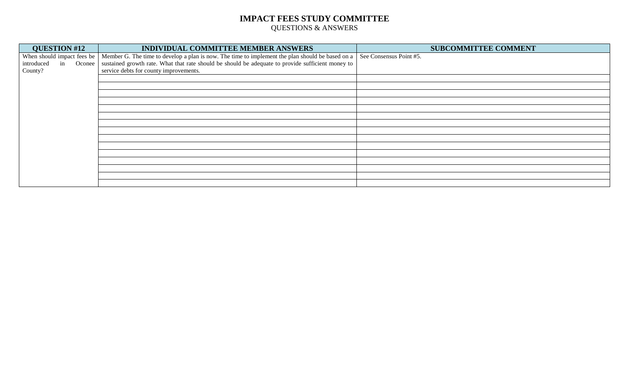| <b>QUESTION #12</b>        | INDIVIDUAL COMMITTEE MEMBER ANSWERS                                                                        | <b>SUBCOMMITTEE COMMENT</b> |
|----------------------------|------------------------------------------------------------------------------------------------------------|-----------------------------|
| When should impact fees be | Member G. The time to develop a plan is now. The time to implement the plan should be based on a           | See Consensus Point #5.     |
| introduced<br>in           | Oconee   sustained growth rate. What that rate should be should be adequate to provide sufficient money to |                             |
| County?                    | service debts for county improvements.                                                                     |                             |
|                            |                                                                                                            |                             |
|                            |                                                                                                            |                             |
|                            |                                                                                                            |                             |
|                            |                                                                                                            |                             |
|                            |                                                                                                            |                             |
|                            |                                                                                                            |                             |
|                            |                                                                                                            |                             |
|                            |                                                                                                            |                             |
|                            |                                                                                                            |                             |
|                            |                                                                                                            |                             |
|                            |                                                                                                            |                             |
|                            |                                                                                                            |                             |
|                            |                                                                                                            |                             |
|                            |                                                                                                            |                             |
|                            |                                                                                                            |                             |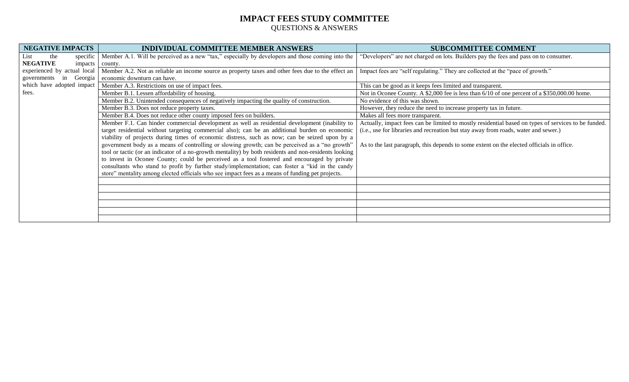| <b>NEGATIVE IMPACTS</b>        | <b>INDIVIDUAL COMMITTEE MEMBER ANSWERS</b>                                                            | <b>SUBCOMMITTEE COMMENT</b>                                                                         |
|--------------------------------|-------------------------------------------------------------------------------------------------------|-----------------------------------------------------------------------------------------------------|
| List<br>specific  <br>the      | Member A.1. Will be perceived as a new "tax," especially by developers and those coming into the      | 'Developers'' are not charged on lots. Builders pay the fees and pass on to consumer.               |
| <b>NEGATIVE</b><br>impacts     | county.                                                                                               |                                                                                                     |
| experienced by actual local    | Member A.2. Not as reliable an income source as property taxes and other fees due to the effect an    | Impact fees are "self regulating." They are collected at the "pace of growth."                      |
| Georgia  <br>governments<br>in | economic downturn can have.                                                                           |                                                                                                     |
| which have adopted impact      | Member A.3. Restrictions on use of impact fees.                                                       | This can be good as it keeps fees limited and transparent.                                          |
| fees.                          | Member B.1. Lessen affordability of housing.                                                          | Not in Oconee County. A \$2,000 fee is less than 6/10 of one percent of a \$350,000.00 home.        |
|                                | Member B.2. Unintended consequences of negatively impacting the quality of construction.              | No evidence of this was shown.                                                                      |
|                                | Member B.3. Does not reduce property taxes.                                                           | However, they reduce the need to increase property tax in future.                                   |
|                                | Member B.4. Does not reduce other county imposed fees on builders.                                    | Makes all fees more transparent.                                                                    |
|                                | Member F.1. Can hinder commercial development as well as residential development (inability to        | Actually, impact fees can be limited to mostly residential based on types of services to be funded. |
|                                | target residential without targeting commercial also); can be an additional burden on economic        | (i.e., use for libraries and recreation but stay away from roads, water and sewer.)                 |
|                                | viability of projects during times of economic distress, such as now; can be seized upon by a         |                                                                                                     |
|                                | government body as a means of controlling or slowing growth; can be perceived as a "no growth"        | As to the last paragraph, this depends to some extent on the elected officials in office.           |
|                                | tool or tactic (or an indicator of a no-growth mentality) by both residents and non-residents looking |                                                                                                     |
|                                | to invest in Oconee County; could be perceived as a tool fostered and encouraged by private           |                                                                                                     |
|                                | consultants who stand to profit by further study/implementation; can foster a "kid in the candy       |                                                                                                     |
|                                | store" mentality among elected officials who see impact fees as a means of funding pet projects.      |                                                                                                     |
|                                |                                                                                                       |                                                                                                     |
|                                |                                                                                                       |                                                                                                     |
|                                |                                                                                                       |                                                                                                     |
|                                |                                                                                                       |                                                                                                     |
|                                |                                                                                                       |                                                                                                     |
|                                |                                                                                                       |                                                                                                     |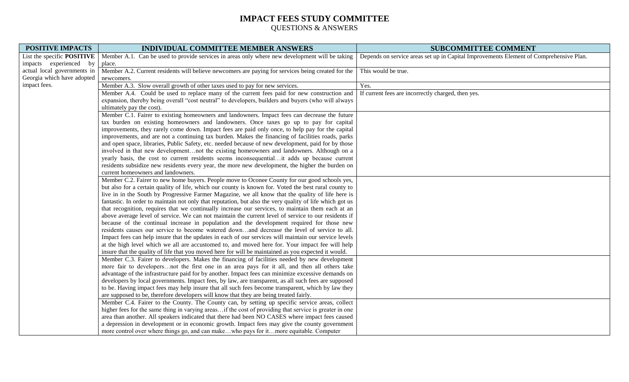| <b>POSITIVE IMPACTS</b>                              | <b>INDIVIDUAL COMMITTEE MEMBER ANSWERS</b>                                                               | <b>SUBCOMMITTEE COMMENT</b>                                                            |
|------------------------------------------------------|----------------------------------------------------------------------------------------------------------|----------------------------------------------------------------------------------------|
| List the specific POSITIVE<br>impacts experienced by | Member A.1. Can be used to provide services in areas only where new development will be taking<br>place. | Depends on service areas set up in Capital Improvements Element of Comprehensive Plan. |
| actual local governments in                          | Member A.2. Current residents will believe newcomers are paying for services being created for the       | This would be true.                                                                    |
| Georgia which have adopted                           | newcomers.                                                                                               |                                                                                        |
| impact fees.                                         | Member A.3. Slow overall growth of other taxes used to pay for new services.                             | Yes.                                                                                   |
|                                                      | Member A.4. Could be used to replace many of the current fees paid for new construction and              | If current fees are incorrectly charged, then yes.                                     |
|                                                      | expansion, thereby being overall "cost neutral" to developers, builders and buyers (who will always      |                                                                                        |
|                                                      | ultimately pay the cost).                                                                                |                                                                                        |
|                                                      | Member C.1. Fairer to existing homeowners and landowners. Impact fees can decrease the future            |                                                                                        |
|                                                      | tax burden on existing homeowners and landowners. Once taxes go up to pay for capital                    |                                                                                        |
|                                                      | improvements, they rarely come down. Impact fees are paid only once, to help pay for the capital         |                                                                                        |
|                                                      | improvements, and are not a continuing tax burden. Makes the financing of facilities roads, parks        |                                                                                        |
|                                                      | and open space, libraries, Public Safety, etc. needed because of new development, paid for by those      |                                                                                        |
|                                                      | involved in that new developmentnot the existing homeowners and landowners. Although on a                |                                                                                        |
|                                                      | yearly basis, the cost to current residents seems inconsequentialit adds up because current              |                                                                                        |
|                                                      | residents subsidize new residents every year, the more new development, the higher the burden on         |                                                                                        |
|                                                      | current homeowners and landowners.                                                                       |                                                                                        |
|                                                      | Member C.2. Fairer to new home buyers. People move to Oconee County for our good schools yes,            |                                                                                        |
|                                                      | but also for a certain quality of life, which our county is known for. Voted the best rural county to    |                                                                                        |
|                                                      | live in in the South by Progressive Farmer Magazine, we all know that the quality of life here is        |                                                                                        |
|                                                      | fantastic. In order to maintain not only that reputation, but also the very quality of life which got us |                                                                                        |
|                                                      | that recognition, requires that we continually increase our services, to maintain them each at an        |                                                                                        |
|                                                      | above average level of service. We can not maintain the current level of service to our residents if     |                                                                                        |
|                                                      | because of the continual increase in population and the development required for those new               |                                                                                        |
|                                                      | residents causes our service to become watered downand decrease the level of service to all.             |                                                                                        |
|                                                      | Impact fees can help insure that the updates in each of our services will maintain our service levels    |                                                                                        |
|                                                      | at the high level which we all are accustomed to, and moved here for. Your impact fee will help          |                                                                                        |
|                                                      | insure that the quality of life that you moved here for will be maintained as you expected it would.     |                                                                                        |
|                                                      | Member C.3. Fairer to developers. Makes the financing of facilities needed by new development            |                                                                                        |
|                                                      | more fair to developersnot the first one in an area pays for it all, and then all others take            |                                                                                        |
|                                                      | advantage of the infrastructure paid for by another. Impact fees can minimize excessive demands on       |                                                                                        |
|                                                      | developers by local governments. Impact fees, by law, are transparent, as all such fees are supposed     |                                                                                        |
|                                                      | to be. Having impact fees may help insure that all such fees become transparent, which by law they       |                                                                                        |
|                                                      | are supposed to be, therefore developers will know that they are being treated fairly.                   |                                                                                        |
|                                                      | Member C.4. Fairer to the County. The County can, by setting up specific service areas, collect          |                                                                                        |
|                                                      | higher fees for the same thing in varying areasif the cost of providing that service is greater in one   |                                                                                        |
|                                                      | area than another. All speakers indicated that there had been NO CASES where impact fees caused          |                                                                                        |
|                                                      | a depression in development or in economic growth. Impact fees may give the county government            |                                                                                        |
|                                                      | more control over where things go, and can makewho pays for itmore equitable. Computer                   |                                                                                        |